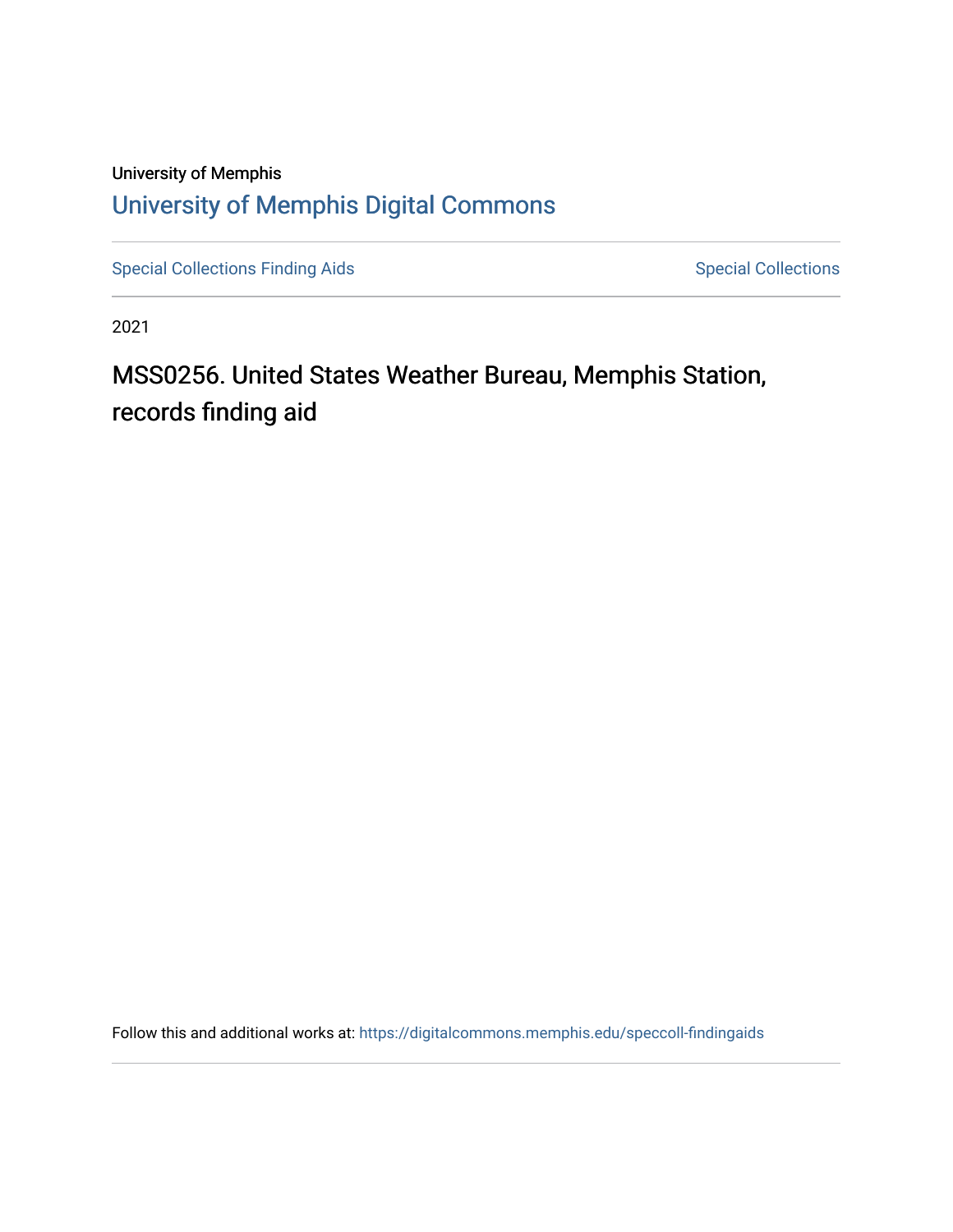# University of Memphis [University of Memphis Digital Commons](https://digitalcommons.memphis.edu/)

[Special Collections Finding Aids](https://digitalcommons.memphis.edu/speccoll-findingaids) [Special Collections](https://digitalcommons.memphis.edu/speccoll) Special Collections

2021

# MSS0256. United States Weather Bureau, Memphis Station, records finding aid

Follow this and additional works at: [https://digitalcommons.memphis.edu/speccoll-findingaids](https://digitalcommons.memphis.edu/speccoll-findingaids?utm_source=digitalcommons.memphis.edu%2Fspeccoll-findingaids%2F182&utm_medium=PDF&utm_campaign=PDFCoverPages)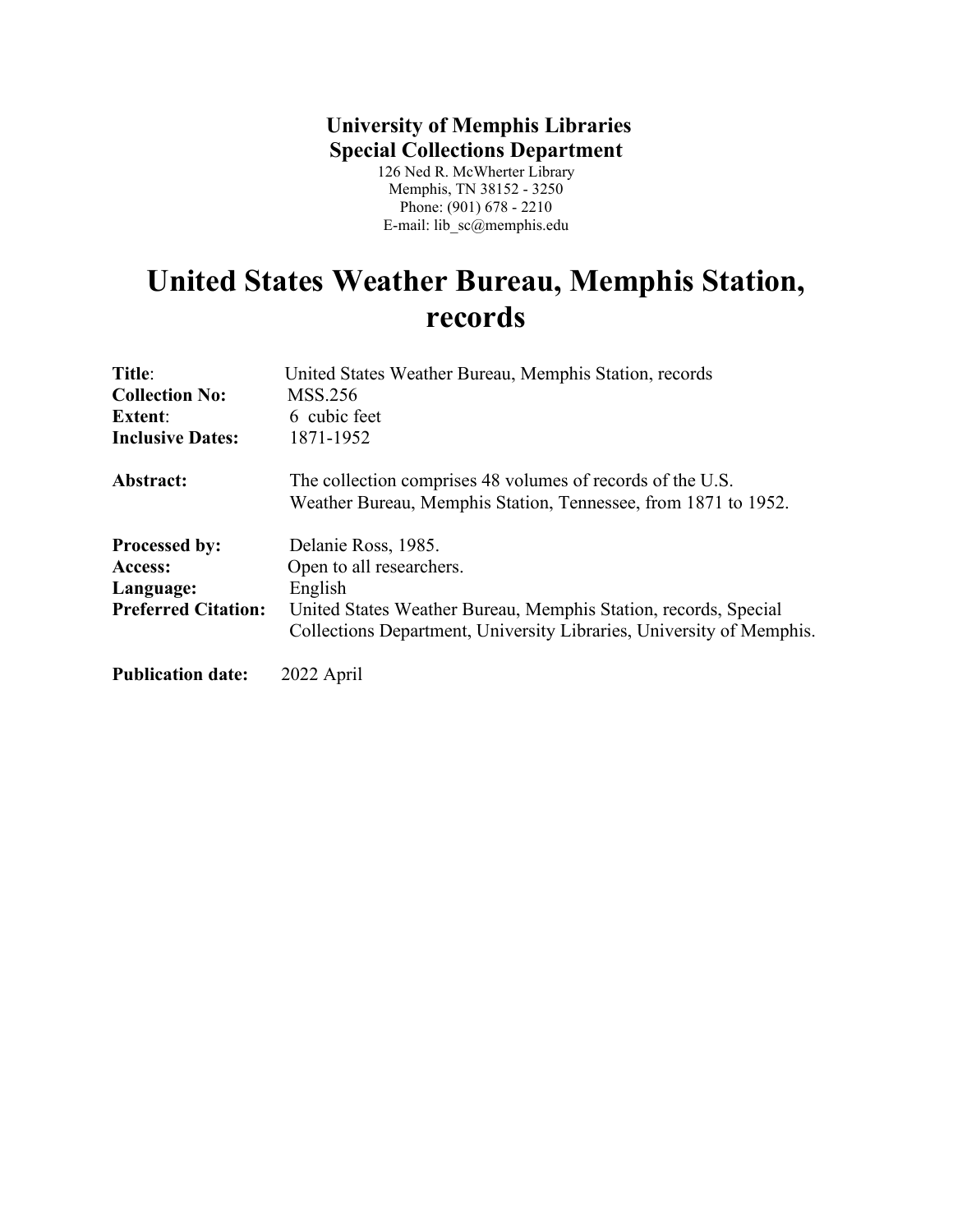# **University of Memphis Libraries Special Collections Department**

126 Ned R. McWherter Library Memphis, TN 38152 - 3250 Phone: (901) 678 - 2210 E-mail: lib\_sc@memphis.edu

# **United States Weather Bureau, Memphis Station, records**

| Title:                     | United States Weather Bureau, Memphis Station, records                                                                                  |
|----------------------------|-----------------------------------------------------------------------------------------------------------------------------------------|
| <b>Collection No:</b>      | MSS.256                                                                                                                                 |
| <b>Extent:</b>             | 6 cubic feet                                                                                                                            |
| <b>Inclusive Dates:</b>    | 1871-1952                                                                                                                               |
| Abstract:                  | The collection comprises 48 volumes of records of the U.S.<br>Weather Bureau, Memphis Station, Tennessee, from 1871 to 1952.            |
| <b>Processed by:</b>       | Delanie Ross, 1985.                                                                                                                     |
| Access:                    | Open to all researchers.                                                                                                                |
| Language:                  | English                                                                                                                                 |
| <b>Preferred Citation:</b> | United States Weather Bureau, Memphis Station, records, Special<br>Collections Department, University Libraries, University of Memphis. |
| <b>Publication date:</b>   | 2022 April                                                                                                                              |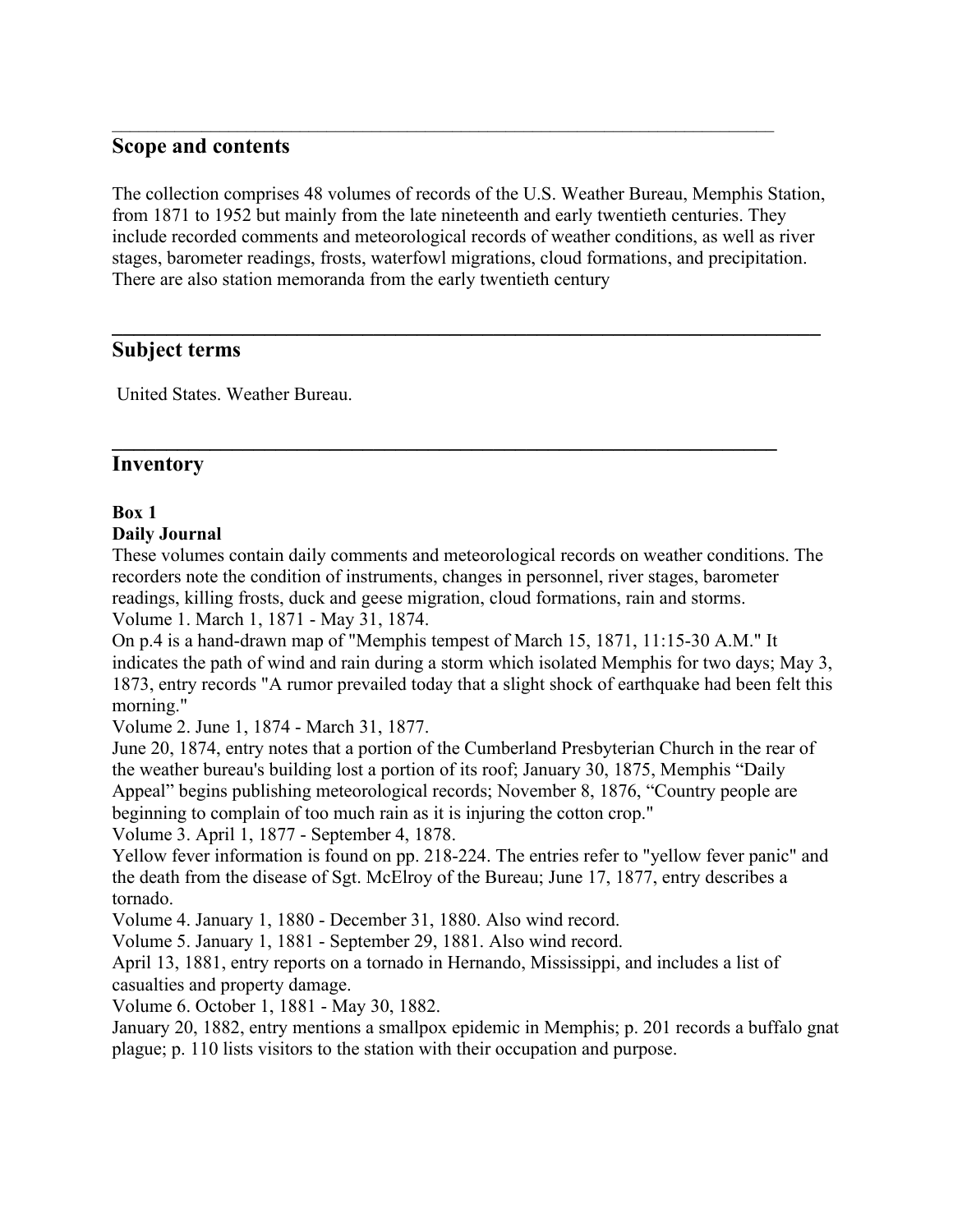#### **Scope and contents**

The collection comprises 48 volumes of records of the U.S. Weather Bureau, Memphis Station, from 1871 to 1952 but mainly from the late nineteenth and early twentieth centuries. They include recorded comments and meteorological records of weather conditions, as well as river stages, barometer readings, frosts, waterfowl migrations, cloud formations, and precipitation. There are also station memoranda from the early twentieth century

**\_\_\_\_\_\_\_\_\_\_\_\_\_\_\_\_\_\_\_\_\_\_\_\_\_\_\_\_\_\_\_\_\_\_\_\_\_\_\_\_\_\_\_\_\_\_\_\_\_\_\_\_\_\_\_\_\_\_\_\_\_\_\_\_\_**

**\_\_\_\_\_\_\_\_\_\_\_\_\_\_\_\_\_\_\_\_\_\_\_\_\_\_\_\_\_\_\_\_\_\_\_\_\_\_\_\_\_\_\_\_\_\_\_\_\_\_\_\_\_\_\_\_\_\_\_\_\_**

\_\_\_\_\_\_\_\_\_\_\_\_\_\_\_\_\_\_\_\_\_\_\_\_\_\_\_\_\_\_\_\_\_\_\_\_\_\_\_\_\_\_\_\_\_\_\_\_\_\_\_\_\_\_\_\_\_\_\_\_\_\_\_\_\_\_\_\_\_\_\_\_\_\_

#### **Subject terms**

United States. Weather Bureau.

#### **Inventory**

#### **Box 1**

#### **Daily Journal**

These volumes contain daily comments and meteorological records on weather conditions. The recorders note the condition of instruments, changes in personnel, river stages, barometer readings, killing frosts, duck and geese migration, cloud formations, rain and storms. Volume 1. March 1, 1871 - May 31, 1874.

On p.4 is a hand-drawn map of "Memphis tempest of March 15, 1871, 11:15-30 A.M." It indicates the path of wind and rain during a storm which isolated Memphis for two days; May 3, 1873, entry records "A rumor prevailed today that a slight shock of earthquake had been felt this morning."

Volume 2. June 1, 1874 - March 31, 1877.

June 20, 1874, entry notes that a portion of the Cumberland Presbyterian Church in the rear of the weather bureau's building lost a portion of its roof; January 30, 1875, Memphis "Daily Appeal" begins publishing meteorological records; November 8, 1876, "Country people are beginning to complain of too much rain as it is injuring the cotton crop."

Volume 3. April 1, 1877 - September 4, 1878.

Yellow fever information is found on pp. 218-224. The entries refer to "yellow fever panic" and the death from the disease of Sgt. McElroy of the Bureau; June 17, 1877, entry describes a tornado.

Volume 4. January 1, 1880 - December 31, 1880. Also wind record.

Volume 5. January 1, 1881 - September 29, 1881. Also wind record.

April 13, 1881, entry reports on a tornado in Hernando, Mississippi, and includes a list of casualties and property damage.

Volume 6. October 1, 1881 - May 30, 1882.

January 20, 1882, entry mentions a smallpox epidemic in Memphis; p. 201 records a buffalo gnat plague; p. 110 lists visitors to the station with their occupation and purpose.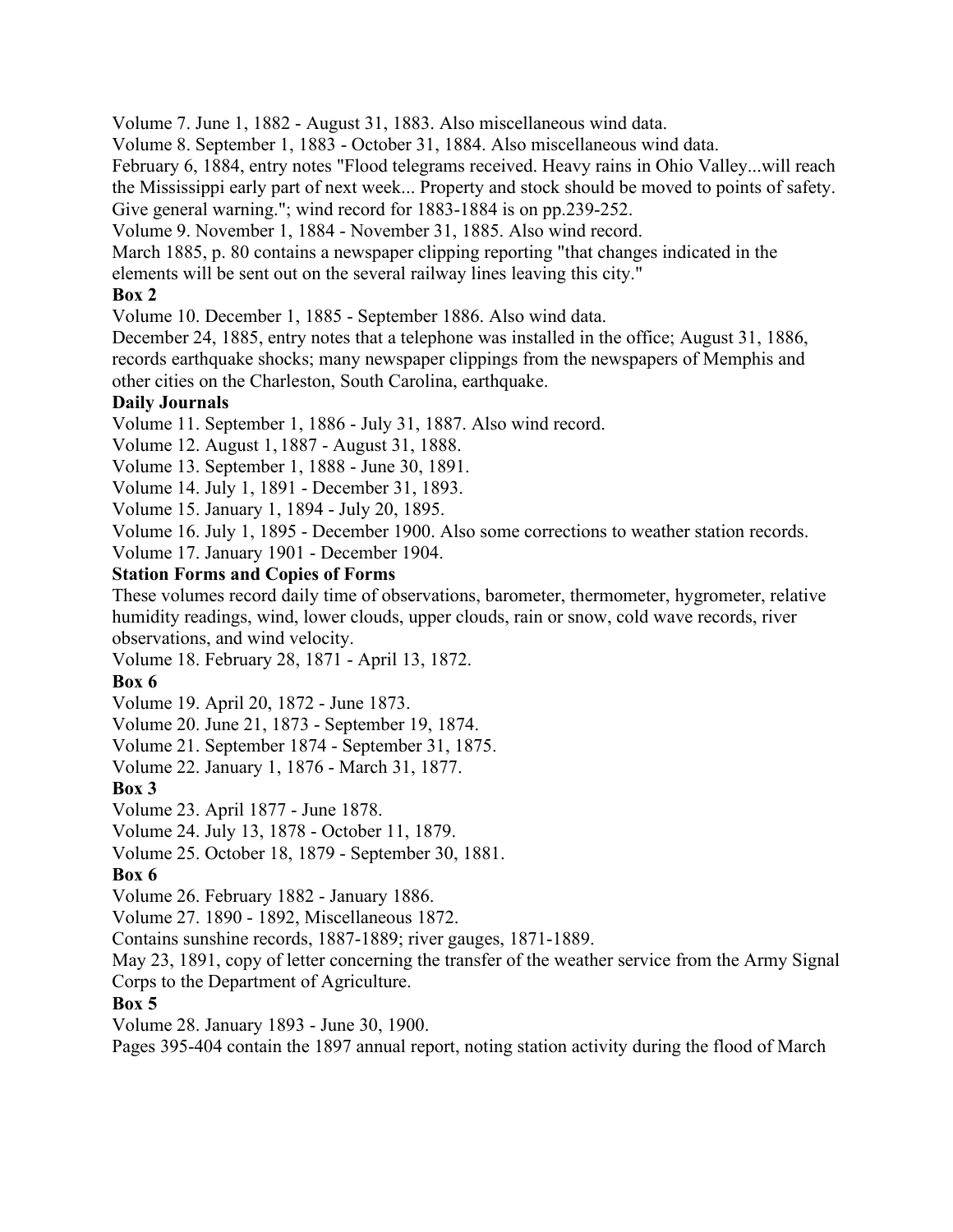Volume 7. June 1, 1882 - August 31, 1883. Also miscellaneous wind data.

Volume 8. September 1, 1883 - October 31, 1884. Also miscellaneous wind data.

February 6, 1884, entry notes "Flood telegrams received. Heavy rains in Ohio Valley...will reach the Mississippi early part of next week... Property and stock should be moved to points of safety. Give general warning."; wind record for 1883-1884 is on pp.239-252.

Volume 9. November 1, 1884 - November 31, 1885. Also wind record.

March 1885, p. 80 contains a newspaper clipping reporting "that changes indicated in the

elements will be sent out on the several railway lines leaving this city."

#### **Box 2**

Volume 10. December 1, 1885 - September 1886. Also wind data.

December 24, 1885, entry notes that a telephone was installed in the office; August 31, 1886, records earthquake shocks; many newspaper clippings from the newspapers of Memphis and other cities on the Charleston, South Carolina, earthquake.

#### **Daily Journals**

Volume 11. September 1, 1886 - July 31, 1887. Also wind record.

Volume 12. August 1, 1887 - August 31, 1888.

Volume 13. September 1, 1888 - June 30, 1891.

Volume 14. July 1, 1891 - December 31, 1893.

Volume 15. January 1, 1894 - July 20, 1895.

Volume 16. July 1, 1895 - December 1900. Also some corrections to weather station records.

Volume 17. January 1901 - December 1904.

#### **Station Forms and Copies of Forms**

These volumes record daily time of observations, barometer, thermometer, hygrometer, relative humidity readings, wind, lower clouds, upper clouds, rain or snow, cold wave records, river observations, and wind velocity.

Volume 18. February 28, 1871 - April 13, 1872.

#### **Box 6**

Volume 19. April 20, 1872 - June 1873.

Volume 20. June 21, 1873 - September 19, 1874.

Volume 21. September 1874 - September 31, 1875.

Volume 22. January 1, 1876 - March 31, 1877.

# **Box 3**

Volume 23. April 1877 - June 1878.

Volume 24. July 13, 1878 - October 11, 1879.

Volume 25. October 18, 1879 - September 30, 1881.

#### **Box 6**

Volume 26. February 1882 - January 1886.

Volume 27. 1890 - 1892, Miscellaneous 1872.

Contains sunshine records, 1887-1889; river gauges, 1871-1889.

May 23, 1891, copy of letter concerning the transfer of the weather service from the Army Signal Corps to the Department of Agriculture.

#### **Box 5**

Volume 28. January 1893 - June 30, 1900.

Pages 395-404 contain the 1897 annual report, noting station activity during the flood of March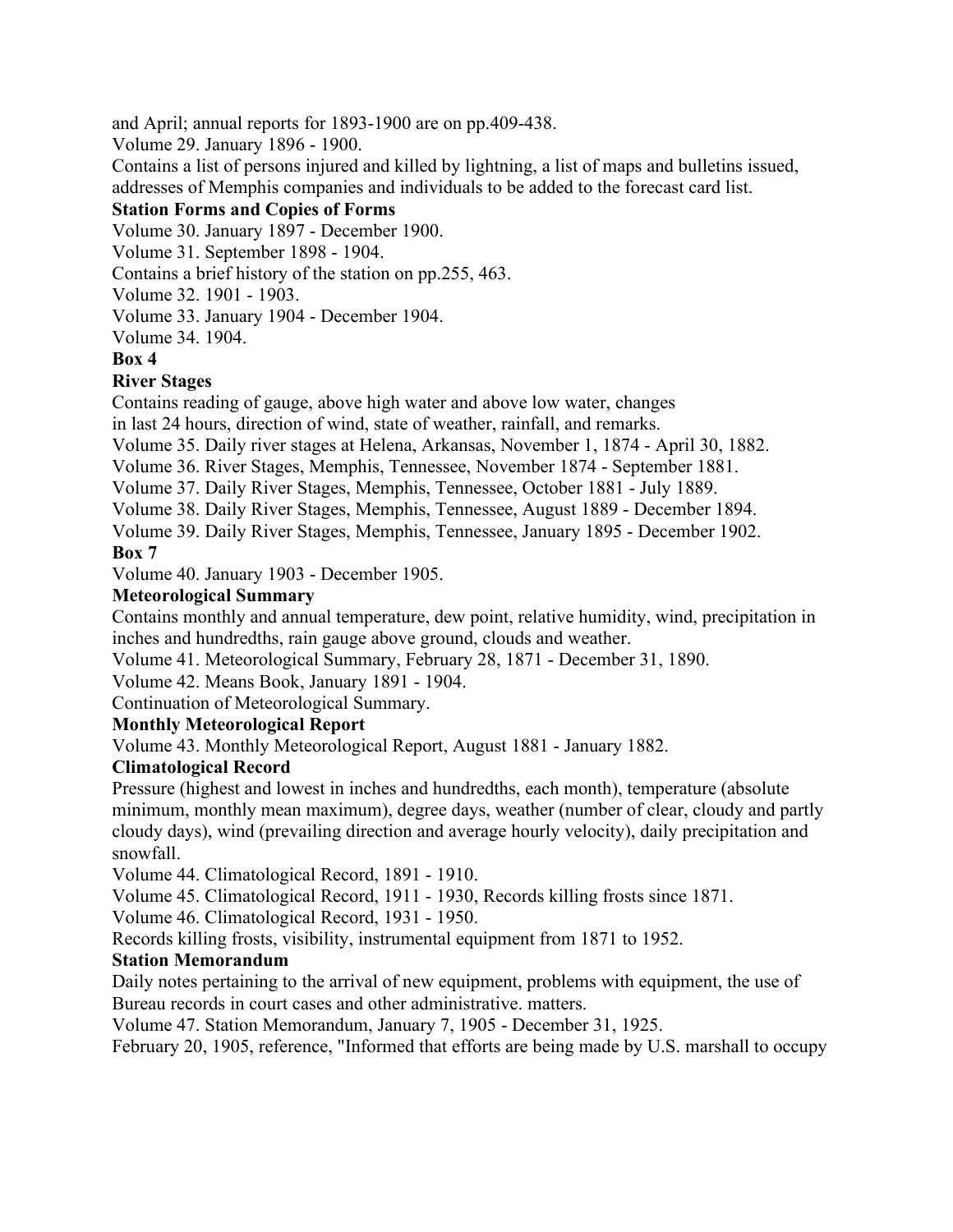and April; annual reports for 1893-1900 are on pp.409-438.

Volume 29. January 1896 - 1900.

Contains a list of persons injured and killed by lightning, a list of maps and bulletins issued, addresses of Memphis companies and individuals to be added to the forecast card list.

# **Station Forms and Copies of Forms**

Volume 30. January 1897 - December 1900.

Volume 31. September 1898 - 1904.

Contains a brief history of the station on pp.255, 463.

Volume 32. 1901 - 1903.

Volume 33. January 1904 - December 1904.

Volume 34. 1904.

**Box 4**

#### **River Stages**

Contains reading of gauge, above high water and above low water, changes

in last 24 hours, direction of wind, state of weather, rainfall, and remarks.

Volume 35. Daily river stages at Helena, Arkansas, November 1, 1874 - April 30, 1882.

Volume 36. River Stages, Memphis, Tennessee, November 1874 - September 1881.

Volume 37. Daily River Stages, Memphis, Tennessee, October 1881 - July 1889.

Volume 38. Daily River Stages, Memphis, Tennessee, August 1889 - December 1894.

Volume 39. Daily River Stages, Memphis, Tennessee, January 1895 - December 1902.

#### **Box 7**

Volume 40. January 1903 - December 1905.

#### **Meteorological Summary**

Contains monthly and annual temperature, dew point, relative humidity, wind, precipitation in inches and hundredths, rain gauge above ground, clouds and weather.

Volume 41. Meteorological Summary, February 28, 1871 - December 31, 1890.

Volume 42. Means Book, January 1891 - 1904.

Continuation of Meteorological Summary.

# **Monthly Meteorological Report**

Volume 43. Monthly Meteorological Report, August 1881 - January 1882.

# **Climatological Record**

Pressure (highest and lowest in inches and hundredths, each month), temperature (absolute minimum, monthly mean maximum), degree days, weather (number of clear, cloudy and partly cloudy days), wind (prevailing direction and average hourly velocity), daily precipitation and snowfall.

Volume 44. Climatological Record, 1891 - 1910.

Volume 45. Climatological Record, 1911 - 1930, Records killing frosts since 1871.

Volume 46. Climatological Record, 1931 - 1950.

Records killing frosts, visibility, instrumental equipment from 1871 to 1952.

# **Station Memorandum**

Daily notes pertaining to the arrival of new equipment, problems with equipment, the use of Bureau records in court cases and other administrative. matters.

Volume 47. Station Memorandum, January 7, 1905 - December 31, 1925.

February 20, 1905, reference, "Informed that efforts are being made by U.S. marshall to occupy